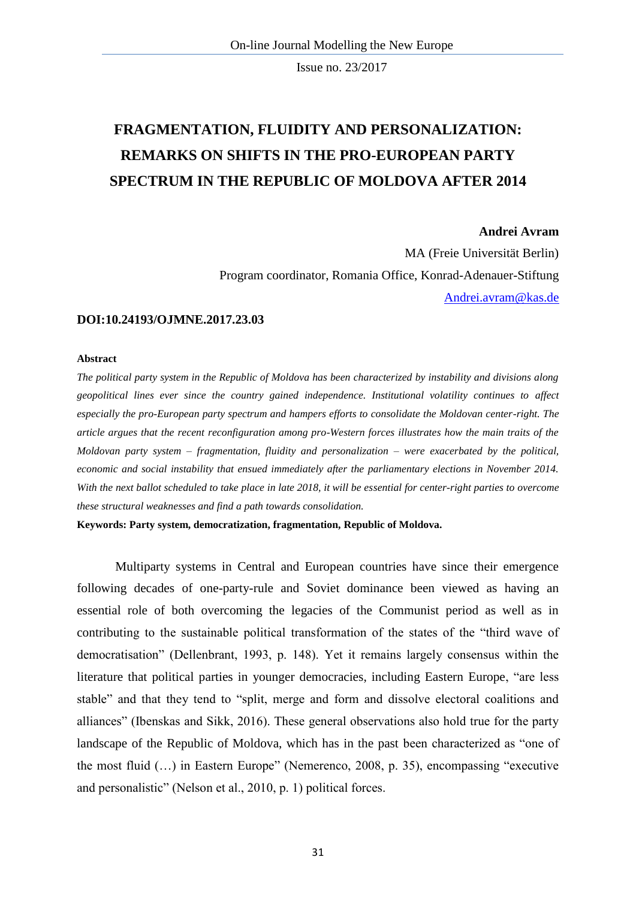# **FRAGMENTATION, FLUIDITY AND PERSONALIZATION: REMARKS ON SHIFTS IN THE PRO-EUROPEAN PARTY SPECTRUM IN THE REPUBLIC OF MOLDOVA AFTER 2014**

#### **Andrei Avram**

MA (Freie Universität Berlin) Program coordinator, Romania Office, Konrad-Adenauer-Stiftung [Andrei.avram@kas.de](mailto:Andrei.avram@kas.de)

### **DOI:10.24193/OJMNE.2017.23.03**

#### **Abstract**

*The political party system in the Republic of Moldova has been characterized by instability and divisions along geopolitical lines ever since the country gained independence. Institutional volatility continues to affect especially the pro-European party spectrum and hampers efforts to consolidate the Moldovan center-right. The article argues that the recent reconfiguration among pro-Western forces illustrates how the main traits of the Moldovan party system – fragmentation, fluidity and personalization – were exacerbated by the political, economic and social instability that ensued immediately after the parliamentary elections in November 2014. With the next ballot scheduled to take place in late 2018, it will be essential for center-right parties to overcome these structural weaknesses and find a path towards consolidation.* 

**Keywords: Party system, democratization, fragmentation, Republic of Moldova.**

Multiparty systems in Central and European countries have since their emergence following decades of one-party-rule and Soviet dominance been viewed as having an essential role of both overcoming the legacies of the Communist period as well as in contributing to the sustainable political transformation of the states of the "third wave of democratisation" (Dellenbrant, 1993, p. 148). Yet it remains largely consensus within the literature that political parties in younger democracies, including Eastern Europe, "are less stable" and that they tend to "split, merge and form and dissolve electoral coalitions and alliances" (Ibenskas and Sikk, 2016). These general observations also hold true for the party landscape of the Republic of Moldova, which has in the past been characterized as "one of the most fluid (…) in Eastern Europe" (Nemerenco, 2008, p. 35), encompassing "executive and personalistic" (Nelson et al., 2010, p. 1) political forces.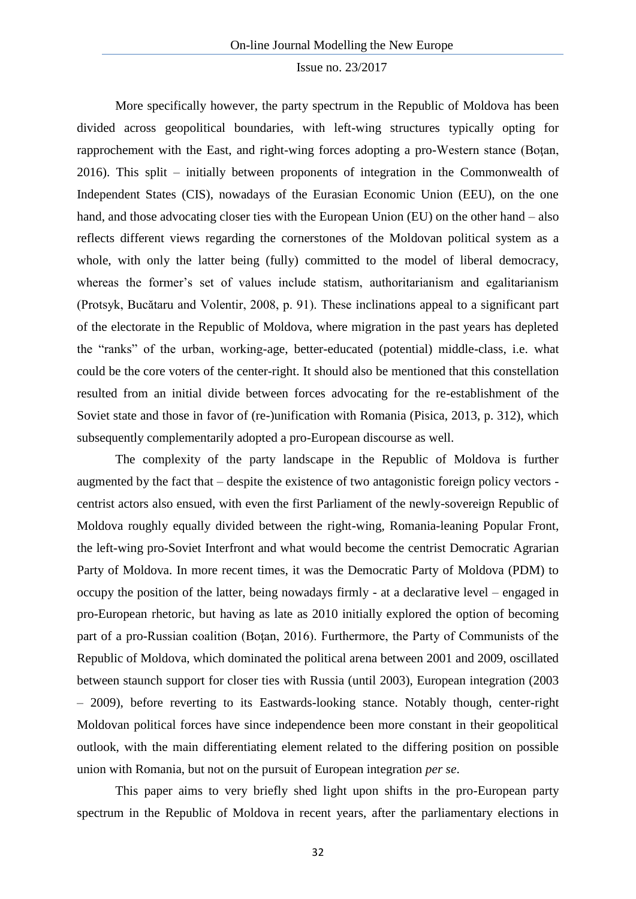More specifically however, the party spectrum in the Republic of Moldova has been divided across geopolitical boundaries, with left-wing structures typically opting for rapprochement with the East, and right-wing forces adopting a pro-Western stance (Boţan, 2016). This split – initially between proponents of integration in the Commonwealth of Independent States (CIS), nowadays of the Eurasian Economic Union (EEU), on the one hand, and those advocating closer ties with the European Union (EU) on the other hand – also reflects different views regarding the cornerstones of the Moldovan political system as a whole, with only the latter being (fully) committed to the model of liberal democracy, whereas the former's set of values include statism, authoritarianism and egalitarianism (Protsyk, Bucătaru and Volentir, 2008, p. 91). These inclinations appeal to a significant part of the electorate in the Republic of Moldova, where migration in the past years has depleted the "ranks" of the urban, working-age, better-educated (potential) middle-class, i.e. what could be the core voters of the center-right. It should also be mentioned that this constellation resulted from an initial divide between forces advocating for the re-establishment of the Soviet state and those in favor of (re-)unification with Romania (Pisica, 2013, p. 312), which subsequently complementarily adopted a pro-European discourse as well.

The complexity of the party landscape in the Republic of Moldova is further augmented by the fact that – despite the existence of two antagonistic foreign policy vectors centrist actors also ensued, with even the first Parliament of the newly-sovereign Republic of Moldova roughly equally divided between the right-wing, Romania-leaning Popular Front, the left-wing pro-Soviet Interfront and what would become the centrist Democratic Agrarian Party of Moldova. In more recent times, it was the Democratic Party of Moldova (PDM) to occupy the position of the latter, being nowadays firmly - at a declarative level – engaged in pro-European rhetoric, but having as late as 2010 initially explored the option of becoming part of a pro-Russian coalition (Boţan, 2016). Furthermore, the Party of Communists of the Republic of Moldova, which dominated the political arena between 2001 and 2009, oscillated between staunch support for closer ties with Russia (until 2003), European integration (2003 – 2009), before reverting to its Eastwards-looking stance. Notably though, center-right Moldovan political forces have since independence been more constant in their geopolitical outlook, with the main differentiating element related to the differing position on possible union with Romania, but not on the pursuit of European integration *per se*.

This paper aims to very briefly shed light upon shifts in the pro-European party spectrum in the Republic of Moldova in recent years, after the parliamentary elections in

32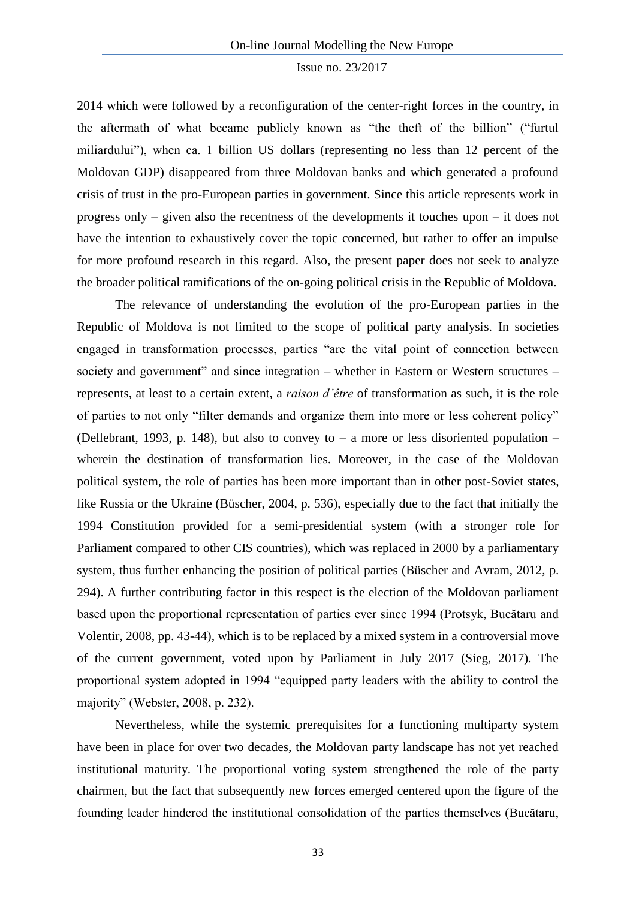2014 which were followed by a reconfiguration of the center-right forces in the country, in the aftermath of what became publicly known as "the theft of the billion" ("furtul miliardului"), when ca. 1 billion US dollars (representing no less than 12 percent of the Moldovan GDP) disappeared from three Moldovan banks and which generated a profound crisis of trust in the pro-European parties in government. Since this article represents work in progress only – given also the recentness of the developments it touches upon – it does not have the intention to exhaustively cover the topic concerned, but rather to offer an impulse for more profound research in this regard. Also, the present paper does not seek to analyze the broader political ramifications of the on-going political crisis in the Republic of Moldova.

The relevance of understanding the evolution of the pro-European parties in the Republic of Moldova is not limited to the scope of political party analysis. In societies engaged in transformation processes, parties "are the vital point of connection between society and government" and since integration – whether in Eastern or Western structures – represents, at least to a certain extent, a *raison d'être* of transformation as such, it is the role of parties to not only "filter demands and organize them into more or less coherent policy" (Dellebrant, 1993, p. 148), but also to convey to – a more or less disoriented population – wherein the destination of transformation lies. Moreover, in the case of the Moldovan political system, the role of parties has been more important than in other post-Soviet states, like Russia or the Ukraine (Büscher, 2004, p. 536), especially due to the fact that initially the 1994 Constitution provided for a semi-presidential system (with a stronger role for Parliament compared to other CIS countries), which was replaced in 2000 by a parliamentary system, thus further enhancing the position of political parties (Büscher and Avram, 2012, p. 294). A further contributing factor in this respect is the election of the Moldovan parliament based upon the proportional representation of parties ever since 1994 (Protsyk, Bucătaru and Volentir, 2008, pp. 43-44), which is to be replaced by a mixed system in a controversial move of the current government, voted upon by Parliament in July 2017 (Sieg, 2017). The proportional system adopted in 1994 "equipped party leaders with the ability to control the majority" (Webster, 2008, p. 232).

Nevertheless, while the systemic prerequisites for a functioning multiparty system have been in place for over two decades, the Moldovan party landscape has not yet reached institutional maturity. The proportional voting system strengthened the role of the party chairmen, but the fact that subsequently new forces emerged centered upon the figure of the founding leader hindered the institutional consolidation of the parties themselves (Bucătaru,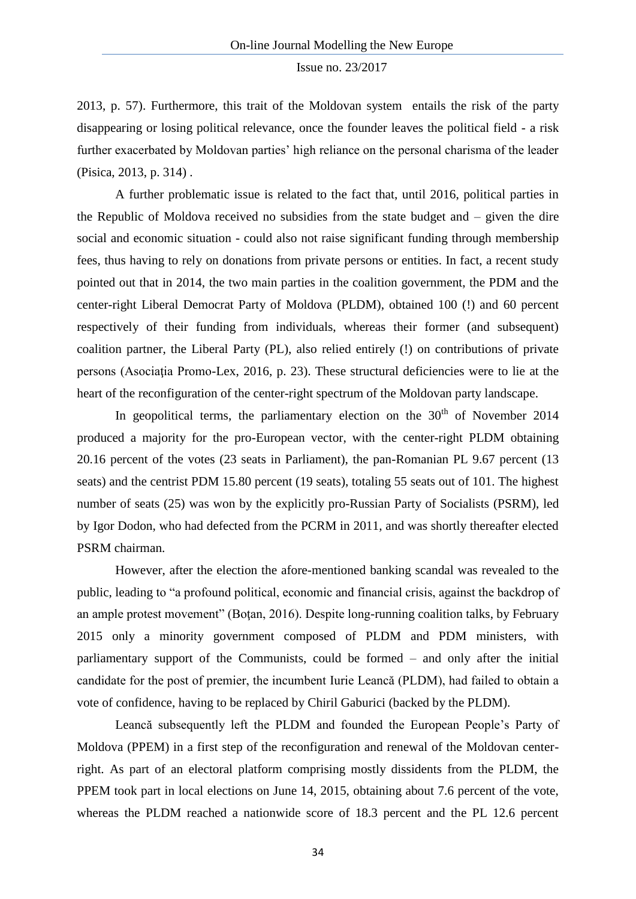2013, p. 57). Furthermore, this trait of the Moldovan system entails the risk of the party disappearing or losing political relevance, once the founder leaves the political field - a risk further exacerbated by Moldovan parties' high reliance on the personal charisma of the leader (Pisica, 2013, p. 314) .

A further problematic issue is related to the fact that, until 2016, political parties in the Republic of Moldova received no subsidies from the state budget and – given the dire social and economic situation - could also not raise significant funding through membership fees, thus having to rely on donations from private persons or entities. In fact, a recent study pointed out that in 2014, the two main parties in the coalition government, the PDM and the center-right Liberal Democrat Party of Moldova (PLDM), obtained 100 (!) and 60 percent respectively of their funding from individuals, whereas their former (and subsequent) coalition partner, the Liberal Party (PL), also relied entirely (!) on contributions of private persons (Asociatia Promo-Lex, 2016, p. 23). These structural deficiencies were to lie at the heart of the reconfiguration of the center-right spectrum of the Moldovan party landscape.

In geopolitical terms, the parliamentary election on the  $30<sup>th</sup>$  of November 2014 produced a majority for the pro-European vector, with the center-right PLDM obtaining 20.16 percent of the votes (23 seats in Parliament), the pan-Romanian PL 9.67 percent (13 seats) and the centrist PDM 15.80 percent (19 seats), totaling 55 seats out of 101. The highest number of seats (25) was won by the explicitly pro-Russian Party of Socialists (PSRM), led by Igor Dodon, who had defected from the PCRM in 2011, and was shortly thereafter elected PSRM chairman.

However, after the election the afore-mentioned banking scandal was revealed to the public, leading to "a profound political, economic and financial crisis, against the backdrop of an ample protest movement" (Boţan, 2016). Despite long-running coalition talks, by February 2015 only a minority government composed of PLDM and PDM ministers, with parliamentary support of the Communists, could be formed – and only after the initial candidate for the post of premier, the incumbent Iurie Leancă (PLDM), had failed to obtain a vote of confidence, having to be replaced by Chiril Gaburici (backed by the PLDM).

Leancă subsequently left the PLDM and founded the European People's Party of Moldova (PPEM) in a first step of the reconfiguration and renewal of the Moldovan centerright. As part of an electoral platform comprising mostly dissidents from the PLDM, the PPEM took part in local elections on June 14, 2015, obtaining about 7.6 percent of the vote, whereas the PLDM reached a nationwide score of 18.3 percent and the PL 12.6 percent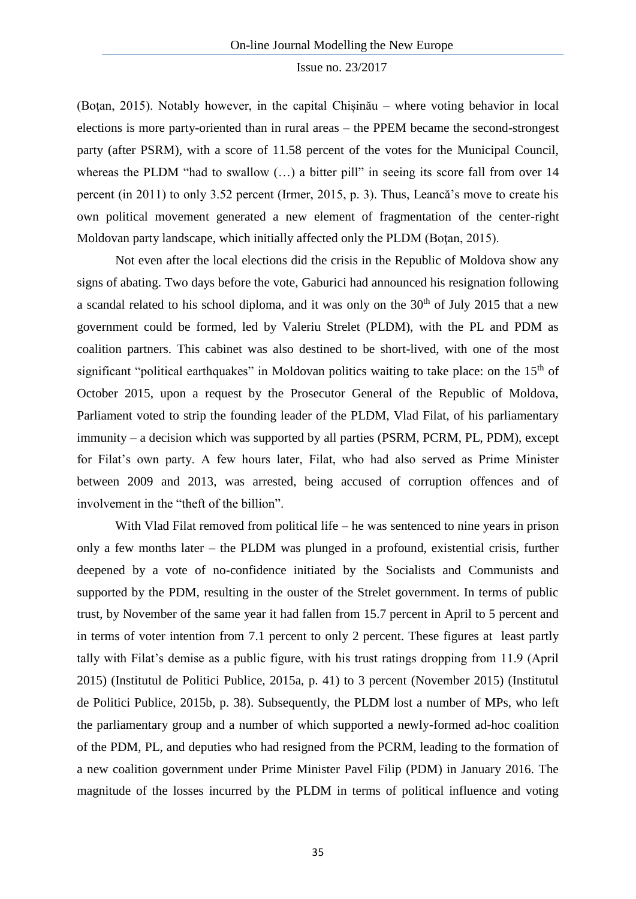(Boţan, 2015). Notably however, in the capital Chișinău – where voting behavior in local elections is more party-oriented than in rural areas – the PPEM became the second-strongest party (after PSRM), with a score of 11.58 percent of the votes for the Municipal Council, whereas the PLDM "had to swallow (...) a bitter pill" in seeing its score fall from over 14 percent (in 2011) to only 3.52 percent (Irmer, 2015, p. 3). Thus, Leancă's move to create his own political movement generated a new element of fragmentation of the center-right Moldovan party landscape, which initially affected only the PLDM (Boţan, 2015).

Not even after the local elections did the crisis in the Republic of Moldova show any signs of abating. Two days before the vote, Gaburici had announced his resignation following a scandal related to his school diploma, and it was only on the  $30<sup>th</sup>$  of July 2015 that a new government could be formed, led by Valeriu Strelet (PLDM), with the PL and PDM as coalition partners. This cabinet was also destined to be short-lived, with one of the most significant "political earthquakes" in Moldovan politics waiting to take place: on the 15<sup>th</sup> of October 2015, upon a request by the Prosecutor General of the Republic of Moldova, Parliament voted to strip the founding leader of the PLDM, Vlad Filat, of his parliamentary immunity – a decision which was supported by all parties (PSRM, PCRM, PL, PDM), except for Filat's own party. A few hours later, Filat, who had also served as Prime Minister between 2009 and 2013, was arrested, being accused of corruption offences and of involvement in the "theft of the billion".

With Vlad Filat removed from political life – he was sentenced to nine years in prison only a few months later – the PLDM was plunged in a profound, existential crisis, further deepened by a vote of no-confidence initiated by the Socialists and Communists and supported by the PDM, resulting in the ouster of the Strelet government. In terms of public trust, by November of the same year it had fallen from 15.7 percent in April to 5 percent and in terms of voter intention from 7.1 percent to only 2 percent. These figures at least partly tally with Filat's demise as a public figure, with his trust ratings dropping from 11.9 (April 2015) (Institutul de Politici Publice, 2015a, p. 41) to 3 percent (November 2015) (Institutul de Politici Publice, 2015b, p. 38). Subsequently, the PLDM lost a number of MPs, who left the parliamentary group and a number of which supported a newly-formed ad-hoc coalition of the PDM, PL, and deputies who had resigned from the PCRM, leading to the formation of a new coalition government under Prime Minister Pavel Filip (PDM) in January 2016. The magnitude of the losses incurred by the PLDM in terms of political influence and voting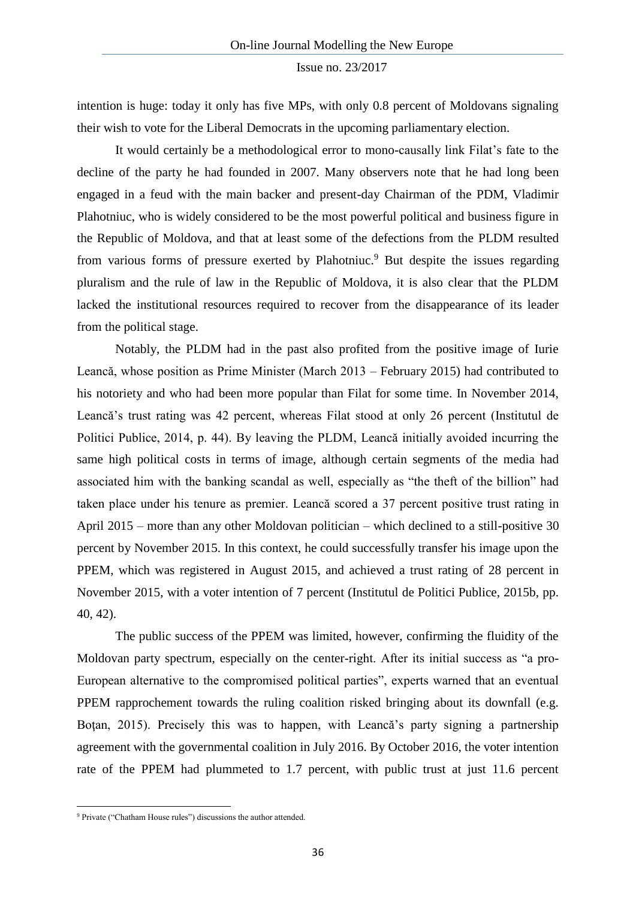intention is huge: today it only has five MPs, with only 0.8 percent of Moldovans signaling their wish to vote for the Liberal Democrats in the upcoming parliamentary election.

It would certainly be a methodological error to mono-causally link Filat's fate to the decline of the party he had founded in 2007. Many observers note that he had long been engaged in a feud with the main backer and present-day Chairman of the PDM, Vladimir Plahotniuc, who is widely considered to be the most powerful political and business figure in the Republic of Moldova, and that at least some of the defections from the PLDM resulted from various forms of pressure exerted by Plahotniuc.<sup>9</sup> But despite the issues regarding pluralism and the rule of law in the Republic of Moldova, it is also clear that the PLDM lacked the institutional resources required to recover from the disappearance of its leader from the political stage.

Notably, the PLDM had in the past also profited from the positive image of Iurie Leancă, whose position as Prime Minister (March 2013 – February 2015) had contributed to his notoriety and who had been more popular than Filat for some time. In November 2014, Leancă's trust rating was 42 percent, whereas Filat stood at only 26 percent (Institutul de Politici Publice, 2014, p. 44). By leaving the PLDM, Leancă initially avoided incurring the same high political costs in terms of image, although certain segments of the media had associated him with the banking scandal as well, especially as "the theft of the billion" had taken place under his tenure as premier. Leancă scored a 37 percent positive trust rating in April 2015 – more than any other Moldovan politician – which declined to a still-positive 30 percent by November 2015. In this context, he could successfully transfer his image upon the PPEM, which was registered in August 2015, and achieved a trust rating of 28 percent in November 2015, with a voter intention of 7 percent (Institutul de Politici Publice, 2015b, pp. 40, 42).

The public success of the PPEM was limited, however, confirming the fluidity of the Moldovan party spectrum, especially on the center-right. After its initial success as "a pro-European alternative to the compromised political parties", experts warned that an eventual PPEM rapprochement towards the ruling coalition risked bringing about its downfall (e.g. Boţan, 2015). Precisely this was to happen, with Leancă's party signing a partnership agreement with the governmental coalition in July 2016. By October 2016, the voter intention rate of the PPEM had plummeted to 1.7 percent, with public trust at just 11.6 percent

**.** 

<sup>9</sup> Private ("Chatham House rules") discussions the author attended.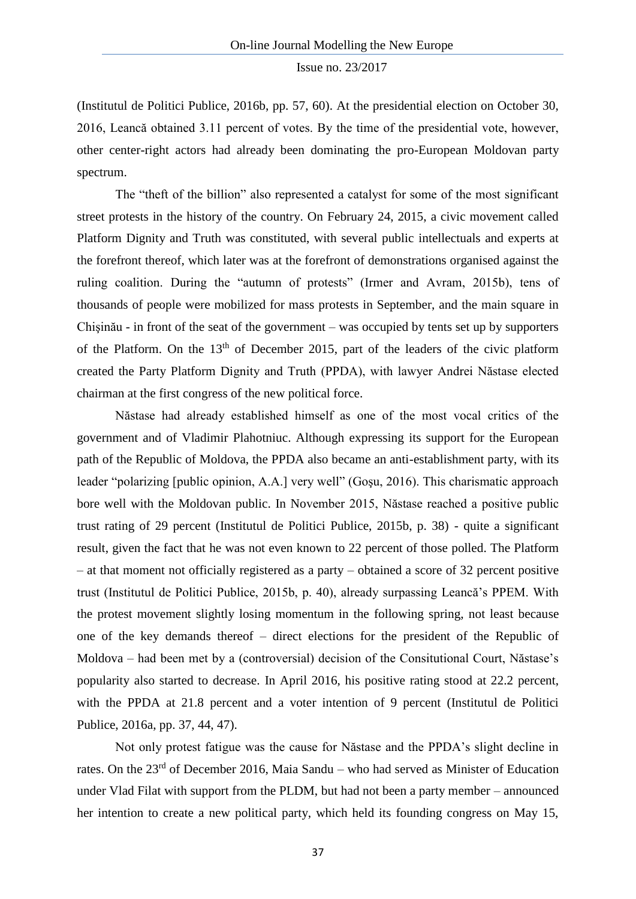(Institutul de Politici Publice, 2016b, pp. 57, 60). At the presidential election on October 30, 2016, Leancă obtained 3.11 percent of votes. By the time of the presidential vote, however, other center-right actors had already been dominating the pro-European Moldovan party spectrum.

The "theft of the billion" also represented a catalyst for some of the most significant street protests in the history of the country. On February 24, 2015, a civic movement called Platform Dignity and Truth was constituted, with several public intellectuals and experts at the forefront thereof, which later was at the forefront of demonstrations organised against the ruling coalition. During the "autumn of protests" (Irmer and Avram, 2015b), tens of thousands of people were mobilized for mass protests in September, and the main square in Chişinău - in front of the seat of the government – was occupied by tents set up by supporters of the Platform. On the  $13<sup>th</sup>$  of December 2015, part of the leaders of the civic platform created the Party Platform Dignity and Truth (PPDA), with lawyer Andrei Năstase elected chairman at the first congress of the new political force.

Năstase had already established himself as one of the most vocal critics of the government and of Vladimir Plahotniuc. Although expressing its support for the European path of the Republic of Moldova, the PPDA also became an anti-establishment party, with its leader "polarizing [public opinion, A.A.] very well" (Goşu, 2016). This charismatic approach bore well with the Moldovan public. In November 2015, Năstase reached a positive public trust rating of 29 percent (Institutul de Politici Publice, 2015b, p. 38) - quite a significant result, given the fact that he was not even known to 22 percent of those polled. The Platform – at that moment not officially registered as a party – obtained a score of 32 percent positive trust (Institutul de Politici Publice, 2015b, p. 40), already surpassing Leancă's PPEM. With the protest movement slightly losing momentum in the following spring, not least because one of the key demands thereof – direct elections for the president of the Republic of Moldova – had been met by a (controversial) decision of the Consitutional Court, Năstase's popularity also started to decrease. In April 2016, his positive rating stood at 22.2 percent, with the PPDA at 21.8 percent and a voter intention of 9 percent (Institutul de Politici Publice, 2016a, pp. 37, 44, 47).

Not only protest fatigue was the cause for Năstase and the PPDA's slight decline in rates. On the 23rd of December 2016, Maia Sandu – who had served as Minister of Education under Vlad Filat with support from the PLDM, but had not been a party member – announced her intention to create a new political party, which held its founding congress on May 15,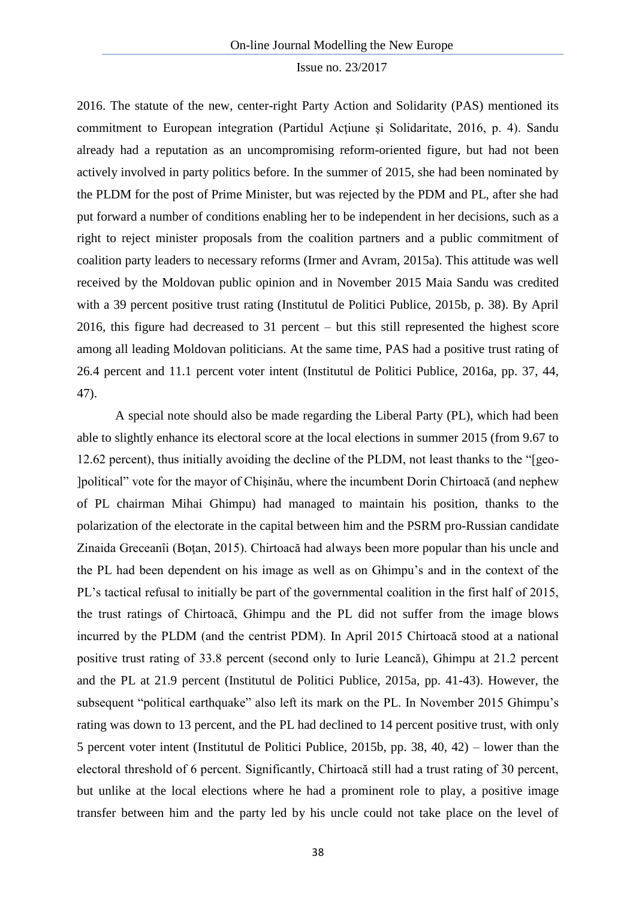2016. The statute of the new, center-right Party Action and Solidarity (PAS) mentioned its commitment to European integration (Partidul Acţiune şi Solidaritate, 2016, p. 4). Sandu already had a reputation as an uncompromising reform-oriented figure, but had not been actively involved in party politics before. In the summer of 2015, she had been nominated by the PLDM for the post of Prime Minister, but was rejected by the PDM and PL, after she had put forward a number of conditions enabling her to be independent in her decisions, such as a right to reject minister proposals from the coalition partners and a public commitment of coalition party leaders to necessary reforms (Irmer and Avram, 2015a). This attitude was well received by the Moldovan public opinion and in November 2015 Maia Sandu was credited with a 39 percent positive trust rating (Institutul de Politici Publice, 2015b, p. 38). By April 2016, this figure had decreased to 31 percent – but this still represented the highest score among all leading Moldovan politicians. At the same time, PAS had a positive trust rating of 26.4 percent and 11.1 percent voter intent (Institutul de Politici Publice, 2016a, pp. 37, 44, 47).

A special note should also be made regarding the Liberal Party (PL), which had been able to slightly enhance its electoral score at the local elections in summer 2015 (from 9.67 to 12.62 percent), thus initially avoiding the decline of the PLDM, not least thanks to the "[geo- ]political" vote for the mayor of Chişinău, where the incumbent Dorin Chirtoacă (and nephew of PL chairman Mihai Ghimpu) had managed to maintain his position, thanks to the polarization of the electorate in the capital between him and the PSRM pro-Russian candidate Zinaida Greceanîi (Boţan, 2015). Chirtoacă had always been more popular than his uncle and the PL had been dependent on his image as well as on Ghimpu's and in the context of the PL's tactical refusal to initially be part of the governmental coalition in the first half of 2015, the trust ratings of Chirtoacă, Ghimpu and the PL did not suffer from the image blows incurred by the PLDM (and the centrist PDM). In April 2015 Chirtoacă stood at a national positive trust rating of 33.8 percent (second only to Iurie Leancă), Ghimpu at 21.2 percent and the PL at 21.9 percent (Institutul de Politici Publice, 2015a, pp. 41-43). However, the subsequent "political earthquake" also left its mark on the PL. In November 2015 Ghimpu's rating was down to 13 percent, and the PL had declined to 14 percent positive trust, with only 5 percent voter intent (Institutul de Politici Publice, 2015b, pp. 38, 40, 42) – lower than the electoral threshold of 6 percent. Significantly, Chirtoacă still had a trust rating of 30 percent, but unlike at the local elections where he had a prominent role to play, a positive image transfer between him and the party led by his uncle could not take place on the level of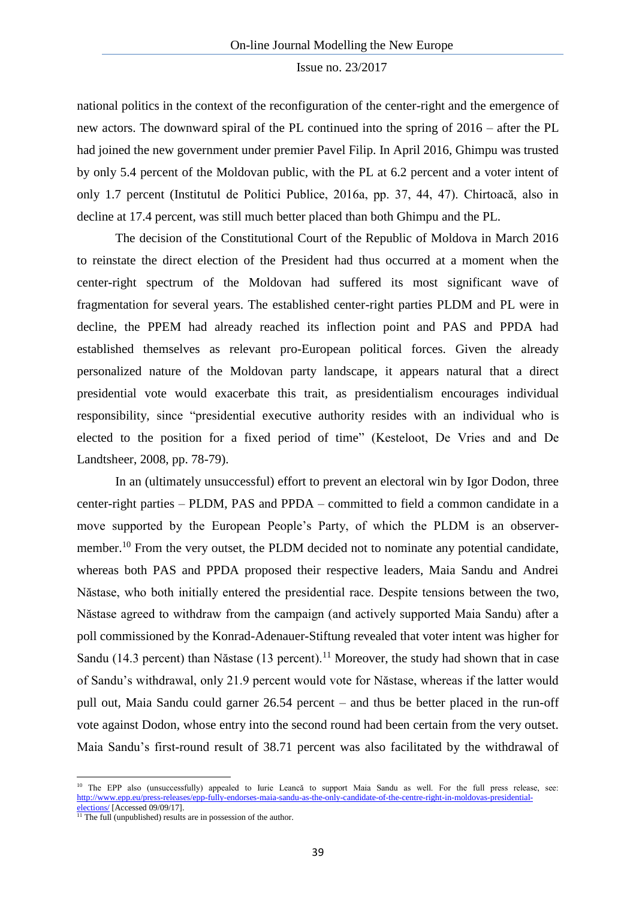national politics in the context of the reconfiguration of the center-right and the emergence of new actors. The downward spiral of the PL continued into the spring of 2016 – after the PL had joined the new government under premier Pavel Filip. In April 2016, Ghimpu was trusted by only 5.4 percent of the Moldovan public, with the PL at 6.2 percent and a voter intent of only 1.7 percent (Institutul de Politici Publice, 2016a, pp. 37, 44, 47). Chirtoacă, also in decline at 17.4 percent, was still much better placed than both Ghimpu and the PL.

The decision of the Constitutional Court of the Republic of Moldova in March 2016 to reinstate the direct election of the President had thus occurred at a moment when the center-right spectrum of the Moldovan had suffered its most significant wave of fragmentation for several years. The established center-right parties PLDM and PL were in decline, the PPEM had already reached its inflection point and PAS and PPDA had established themselves as relevant pro-European political forces. Given the already personalized nature of the Moldovan party landscape, it appears natural that a direct presidential vote would exacerbate this trait, as presidentialism encourages individual responsibility, since "presidential executive authority resides with an individual who is elected to the position for a fixed period of time" (Kesteloot, De Vries and and De Landtsheer, 2008, pp. 78-79).

In an (ultimately unsuccessful) effort to prevent an electoral win by Igor Dodon, three center-right parties – PLDM, PAS and PPDA – committed to field a common candidate in a move supported by the European People's Party, of which the PLDM is an observermember.<sup>10</sup> From the very outset, the PLDM decided not to nominate any potential candidate, whereas both PAS and PPDA proposed their respective leaders, Maia Sandu and Andrei Năstase, who both initially entered the presidential race. Despite tensions between the two, Năstase agreed to withdraw from the campaign (and actively supported Maia Sandu) after a poll commissioned by the Konrad-Adenauer-Stiftung revealed that voter intent was higher for Sandu (14.3 percent) than Năstase (13 percent).<sup>11</sup> Moreover, the study had shown that in case of Sandu's withdrawal, only 21.9 percent would vote for Năstase, whereas if the latter would pull out, Maia Sandu could garner 26.54 percent – and thus be better placed in the run-off vote against Dodon, whose entry into the second round had been certain from the very outset. Maia Sandu's first-round result of 38.71 percent was also facilitated by the withdrawal of

 $\overline{a}$ 

<sup>&</sup>lt;sup>10</sup> The EPP also (unsuccessfully) appealed to Iurie Leancă to support Maia Sandu as well. For the full press release, see: [http://www.epp.eu/press-releases/epp-fully-endorses-maia-sandu-as-the-only-candidate-of-the-centre-right-in-moldovas-presidential](http://www.epp.eu/press-releases/epp-fully-endorses-maia-sandu-as-the-only-candidate-of-the-centre-right-in-moldovas-presidential-elections/)[elections/](http://www.epp.eu/press-releases/epp-fully-endorses-maia-sandu-as-the-only-candidate-of-the-centre-right-in-moldovas-presidential-elections/) [Accessed 09/09/17].

 $11$  The full (unpublished) results are in possession of the author.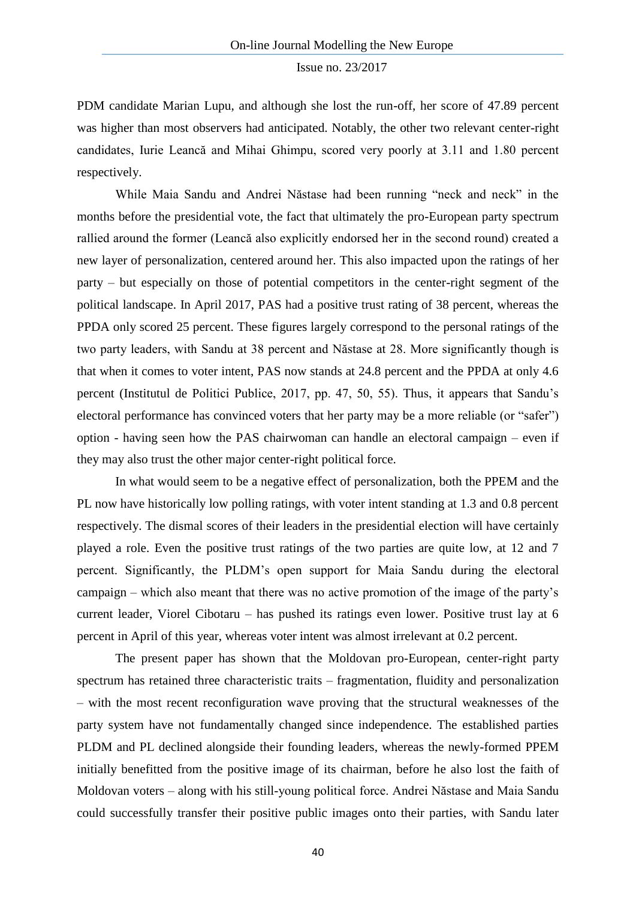PDM candidate Marian Lupu, and although she lost the run-off, her score of 47.89 percent was higher than most observers had anticipated. Notably, the other two relevant center-right candidates, Iurie Leancă and Mihai Ghimpu, scored very poorly at 3.11 and 1.80 percent respectively.

While Maia Sandu and Andrei Năstase had been running "neck and neck" in the months before the presidential vote, the fact that ultimately the pro-European party spectrum rallied around the former (Leancă also explicitly endorsed her in the second round) created a new layer of personalization, centered around her. This also impacted upon the ratings of her party – but especially on those of potential competitors in the center-right segment of the political landscape. In April 2017, PAS had a positive trust rating of 38 percent, whereas the PPDA only scored 25 percent. These figures largely correspond to the personal ratings of the two party leaders, with Sandu at 38 percent and Năstase at 28. More significantly though is that when it comes to voter intent, PAS now stands at 24.8 percent and the PPDA at only 4.6 percent (Institutul de Politici Publice, 2017, pp. 47, 50, 55). Thus, it appears that Sandu's electoral performance has convinced voters that her party may be a more reliable (or "safer") option - having seen how the PAS chairwoman can handle an electoral campaign – even if they may also trust the other major center-right political force.

In what would seem to be a negative effect of personalization, both the PPEM and the PL now have historically low polling ratings, with voter intent standing at 1.3 and 0.8 percent respectively. The dismal scores of their leaders in the presidential election will have certainly played a role. Even the positive trust ratings of the two parties are quite low, at 12 and 7 percent. Significantly, the PLDM's open support for Maia Sandu during the electoral campaign – which also meant that there was no active promotion of the image of the party's current leader, Viorel Cibotaru – has pushed its ratings even lower. Positive trust lay at 6 percent in April of this year, whereas voter intent was almost irrelevant at 0.2 percent.

The present paper has shown that the Moldovan pro-European, center-right party spectrum has retained three characteristic traits – fragmentation, fluidity and personalization – with the most recent reconfiguration wave proving that the structural weaknesses of the party system have not fundamentally changed since independence. The established parties PLDM and PL declined alongside their founding leaders, whereas the newly-formed PPEM initially benefitted from the positive image of its chairman, before he also lost the faith of Moldovan voters – along with his still-young political force. Andrei Năstase and Maia Sandu could successfully transfer their positive public images onto their parties, with Sandu later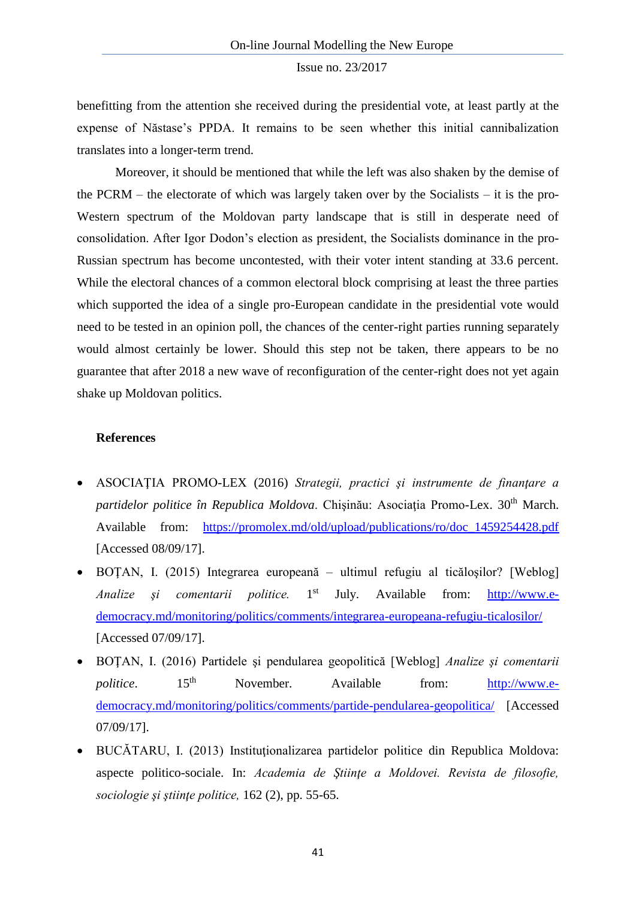benefitting from the attention she received during the presidential vote, at least partly at the expense of Năstase's PPDA. It remains to be seen whether this initial cannibalization translates into a longer-term trend.

Moreover, it should be mentioned that while the left was also shaken by the demise of the PCRM – the electorate of which was largely taken over by the Socialists – it is the pro-Western spectrum of the Moldovan party landscape that is still in desperate need of consolidation. After Igor Dodon's election as president, the Socialists dominance in the pro-Russian spectrum has become uncontested, with their voter intent standing at 33.6 percent. While the electoral chances of a common electoral block comprising at least the three parties which supported the idea of a single pro-European candidate in the presidential vote would need to be tested in an opinion poll, the chances of the center-right parties running separately would almost certainly be lower. Should this step not be taken, there appears to be no guarantee that after 2018 a new wave of reconfiguration of the center-right does not yet again shake up Moldovan politics.

## **References**

- ASOCIAŢIA PROMO-LEX (2016) *Strategii, practici şi instrumente de finanţare a*  partidelor politice în Republica Moldova. Chișinău: Asociația Promo-Lex. 30<sup>th</sup> March. Available from: [https://promolex.md/old/upload/publications/ro/doc\\_1459254428.pdf](https://promolex.md/old/upload/publications/ro/doc_1459254428.pdf) [Accessed 08/09/17].
- BOŢAN, I. (2015) Integrarea europeană ultimul refugiu al ticăloşilor? [Weblog] *Analize şi comentarii politice.* 1 July. Available from: [http://www.e](http://www.e-democracy.md/monitoring/politics/comments/integrarea-europeana-refugiu-ticalosilor/)[democracy.md/monitoring/politics/comments/integrarea-europeana-refugiu-ticalosilor/](http://www.e-democracy.md/monitoring/politics/comments/integrarea-europeana-refugiu-ticalosilor/) [Accessed 07/09/17].
- BOŢAN, I. (2016) Partidele şi pendularea geopolitică [Weblog] *Analize şi comentarii politice*. 15<sup>th</sup> November. Available from: [http://www.e](http://www.e-democracy.md/monitoring/politics/comments/partide-pendularea-geopolitica/)[democracy.md/monitoring/politics/comments/partide-pendularea-geopolitica/](http://www.e-democracy.md/monitoring/politics/comments/partide-pendularea-geopolitica/) [Accessed 07/09/17].
- BUCĂTARU, I. (2013) Instituţionalizarea partidelor politice din Republica Moldova: aspecte politico-sociale. In: *Academia de Ştiinţe a Moldovei. Revista de filosofie, sociologie şi ştiinţe politice,* 162 (2), pp. 55-65.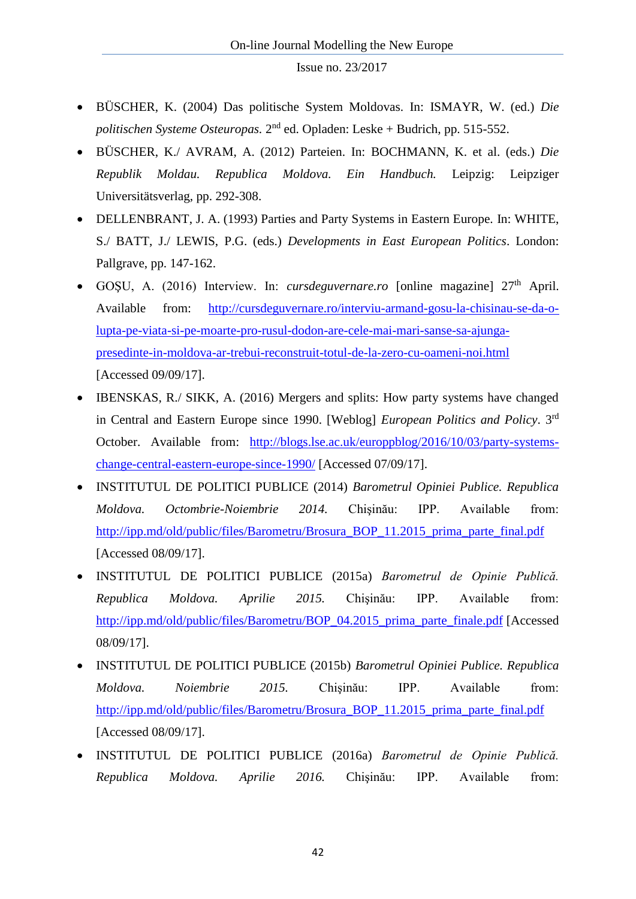- BÜSCHER, K. (2004) Das politische System Moldovas. In: ISMAYR, W. (ed.) *Die*  politischen Systeme Osteuropas. 2<sup>nd</sup> ed. Opladen: Leske + Budrich, pp. 515-552.
- BÜSCHER, K./ AVRAM, A. (2012) Parteien. In: BOCHMANN, K. et al. (eds.) *Die Republik Moldau. Republica Moldova. Ein Handbuch.* Leipzig: Leipziger Universitätsverlag, pp. 292-308.
- DELLENBRANT, J. A. (1993) Parties and Party Systems in Eastern Europe*.* In: WHITE, S./ BATT, J./ LEWIS, P.G. (eds.) *Developments in East European Politics*. London: Pallgrave, pp. 147-162.
- GOSU, A. (2016) Interview. In: *cursdeguvernare.ro* [online magazine]  $27<sup>th</sup>$  April. Available from: [http://cursdeguvernare.ro/interviu-armand-gosu-la-chisinau-se-da-o](http://cursdeguvernare.ro/interviu-armand-gosu-la-chisinau-se-da-o-lupta-pe-viata-si-pe-moarte-pro-rusul-dodon-are-cele-mai-mari-sanse-sa-ajunga-presedinte-in-moldova-ar-trebui-reconstruit-totul-de-la-zero-cu-oameni-noi.html)[lupta-pe-viata-si-pe-moarte-pro-rusul-dodon-are-cele-mai-mari-sanse-sa-ajunga](http://cursdeguvernare.ro/interviu-armand-gosu-la-chisinau-se-da-o-lupta-pe-viata-si-pe-moarte-pro-rusul-dodon-are-cele-mai-mari-sanse-sa-ajunga-presedinte-in-moldova-ar-trebui-reconstruit-totul-de-la-zero-cu-oameni-noi.html)[presedinte-in-moldova-ar-trebui-reconstruit-totul-de-la-zero-cu-oameni-noi.html](http://cursdeguvernare.ro/interviu-armand-gosu-la-chisinau-se-da-o-lupta-pe-viata-si-pe-moarte-pro-rusul-dodon-are-cele-mai-mari-sanse-sa-ajunga-presedinte-in-moldova-ar-trebui-reconstruit-totul-de-la-zero-cu-oameni-noi.html) [Accessed 09/09/17].
- IBENSKAS, R./ SIKK, A. (2016) Mergers and splits: How party systems have changed in Central and Eastern Europe since 1990. [Weblog] *European Politics and Policy*. 3rd October. Available from: [http://blogs.lse.ac.uk/europpblog/2016/10/03/party-systems](http://blogs.lse.ac.uk/europpblog/2016/10/03/party-systems-change-central-eastern-europe-since-1990/)[change-central-eastern-europe-since-1990/](http://blogs.lse.ac.uk/europpblog/2016/10/03/party-systems-change-central-eastern-europe-since-1990/) [Accessed 07/09/17].
- INSTITUTUL DE POLITICI PUBLICE (2014) *Barometrul Opiniei Publice. Republica Moldova. Octombrie-Noiembrie 2014.* Chişinău: IPP. Available from: [http://ipp.md/old/public/files/Barometru/Brosura\\_BOP\\_11.2015\\_prima\\_parte\\_final.pdf](http://ipp.md/old/public/files/Barometru/Brosura_BOP_11.2015_prima_parte_final.pdf) [Accessed 08/09/17].
- INSTITUTUL DE POLITICI PUBLICE (2015a) *Barometrul de Opinie Publică. Republica Moldova. Aprilie 2015.* Chişinău: IPP. Available from: [http://ipp.md/old/public/files/Barometru/BOP\\_04.2015\\_prima\\_parte\\_finale.pdf](http://ipp.md/old/public/files/Barometru/BOP_04.2015_prima_parte_finale.pdf) [Accessed 08/09/17].
- INSTITUTUL DE POLITICI PUBLICE (2015b) *Barometrul Opiniei Publice. Republica Moldova. Noiembrie 2015.* Chişinău: IPP. Available from: [http://ipp.md/old/public/files/Barometru/Brosura\\_BOP\\_11.2015\\_prima\\_parte\\_final.pdf](http://ipp.md/old/public/files/Barometru/Brosura_BOP_11.2015_prima_parte_final.pdf) [Accessed 08/09/17].
- INSTITUTUL DE POLITICI PUBLICE (2016a) *Barometrul de Opinie Publică. Republica Moldova. Aprilie 2016.* Chişinău: IPP. Available from: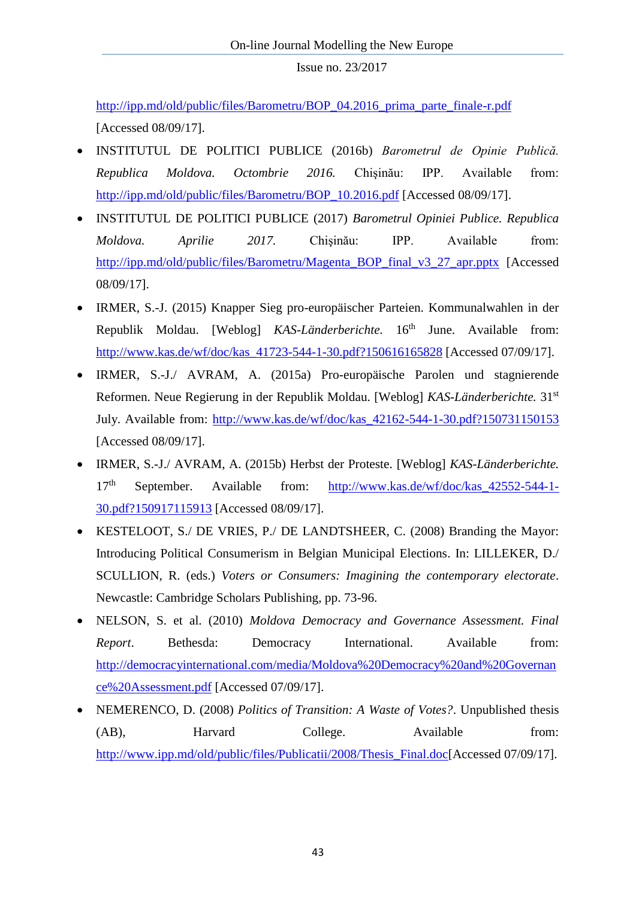[http://ipp.md/old/public/files/Barometru/BOP\\_04.2016\\_prima\\_parte\\_finale-r.pdf](http://ipp.md/old/public/files/Barometru/BOP_04.2016_prima_parte_finale-r.pdf)  [Accessed 08/09/17].

- INSTITUTUL DE POLITICI PUBLICE (2016b) *Barometrul de Opinie Publică. Republica Moldova. Octombrie 2016.* Chişinău: IPP. Available from: [http://ipp.md/old/public/files/Barometru/BOP\\_10.2016.pdf](http://ipp.md/old/public/files/Barometru/BOP_10.2016.pdf) [Accessed 08/09/17].
- INSTITUTUL DE POLITICI PUBLICE (2017) *Barometrul Opiniei Publice. Republica Moldova. Aprilie 2017.* Chişinău: IPP. Available from: [http://ipp.md/old/public/files/Barometru/Magenta\\_BOP\\_final\\_v3\\_27\\_apr.pptx](http://ipp.md/old/public/files/Barometru/Magenta_BOP_final_v3_27_apr.pptx) [Accessed 08/09/17].
- IRMER, S.-J. (2015) Knapper Sieg pro-europäischer Parteien. Kommunalwahlen in der Republik Moldau. [Weblog] *KAS-Länderberichte*. 16<sup>th</sup> June. Available from: [http://www.kas.de/wf/doc/kas\\_41723-544-1-30.pdf?150616165828](http://www.kas.de/wf/doc/kas_41723-544-1-30.pdf?150616165828) [Accessed 07/09/17].
- IRMER, S.-J./ AVRAM, A. (2015a) Pro-europäische Parolen und stagnierende Reformen. Neue Regierung in der Republik Moldau. [Weblog] *KAS-Länderberichte.* 31st July. Available from: [http://www.kas.de/wf/doc/kas\\_42162-544-1-30.pdf?150731150153](http://www.kas.de/wf/doc/kas_42162-544-1-30.pdf?150731150153) [Accessed 08/09/17].
- IRMER, S.-J./ AVRAM, A. (2015b) Herbst der Proteste. [Weblog] *KAS-Länderberichte.*  17<sup>th</sup> September. Available from: [http://www.kas.de/wf/doc/kas\\_42552-544-1-](http://www.kas.de/wf/doc/kas_42552-544-1-30.pdf?150917115913) [30.pdf?150917115913](http://www.kas.de/wf/doc/kas_42552-544-1-30.pdf?150917115913) [Accessed 08/09/17].
- KESTELOOT, S./ DE VRIES, P./ DE LANDTSHEER, C. (2008) Branding the Mayor: Introducing Political Consumerism in Belgian Municipal Elections. In: LILLEKER, D./ SCULLION, R. (eds.) *Voters or Consumers: Imagining the contemporary electorate*. Newcastle: Cambridge Scholars Publishing, pp. 73-96.
- NELSON, S. et al. (2010) *Moldova Democracy and Governance Assessment. Final Report*. Bethesda: Democracy International. Available from: [http://democracyinternational.com/media/Moldova%20Democracy%20and%20Governan](http://democracyinternational.com/media/Moldova%20Democracy%20and%20Governance%20Assessment.pdf) [ce%20Assessment.pdf](http://democracyinternational.com/media/Moldova%20Democracy%20and%20Governance%20Assessment.pdf) [Accessed 07/09/17].
- NEMERENCO, D. (2008) *Politics of Transition: A Waste of Votes?*. Unpublished thesis (AB), Harvard College. Available from: [http://www.ipp.md/old/public/files/Publicatii/2008/Thesis\\_Final.doc\[](http://www.ipp.md/old/public/files/Publicatii/2008/Thesis_Final.doc)Accessed 07/09/17].